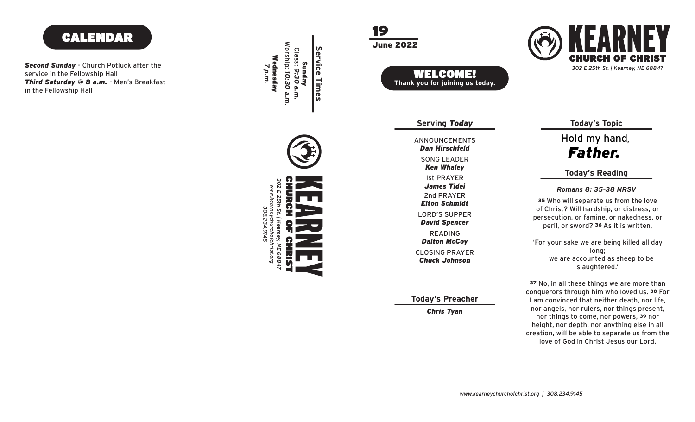# CALENDAR

*Second Sunday* - Church Potluck after the service in the Fellowship Hall *Third Saturday @ 8 a.m.* - Men's Breakfast in the Fellowship Hall

Worship: 10:30 a.m. **Service Times Service Times** Class: *7 p.m.* Wednesday Sunday *9:30 a.m. 10:30 a.m.* a.m.

19

June 2022



CH. *302 E 25th St. | Kearney, NE 68847*

> **Today's Topic** Hold my hand *Father.*

### **Today's Reading**

*Romans 8: 35-38 NRSV*

<sup>35</sup> Who will separate us from the love of Christ? Will hardship, or distress, or persecution, or famine, or nakedness, or peril, or sword? 36 As it is written,

'For your sake we are being killed all day long; we are accounted as sheep to be slaughtered.'

<sup>37</sup> No, in all these things we are more than conquerors through him who loved us. 38 For I am convinced that neither death, nor life, nor angels, nor rulers, nor things present, nor things to come, nor powers, 39 nor height, nor depth, nor anything else in all creation, will be able to separate us from the love of God in Christ Jesus our Lord.

*Chris Tyan*

**Today's Preacher**

READING

*Dalton McCoy*

LORD'S SUPPER *David Spencer*

2nd PRAYER *James Tidei*

*Elton Schmidt*

CLOSING PRAYER

*Chuck Johnson*

**Serving** *Today*

ANNOUNCEMENTS

*Dan Hirschfeld*

SONG LEADER

*Ken Whaley*

1st PRAYER

WELCOME! **Thank you for joining us today.**